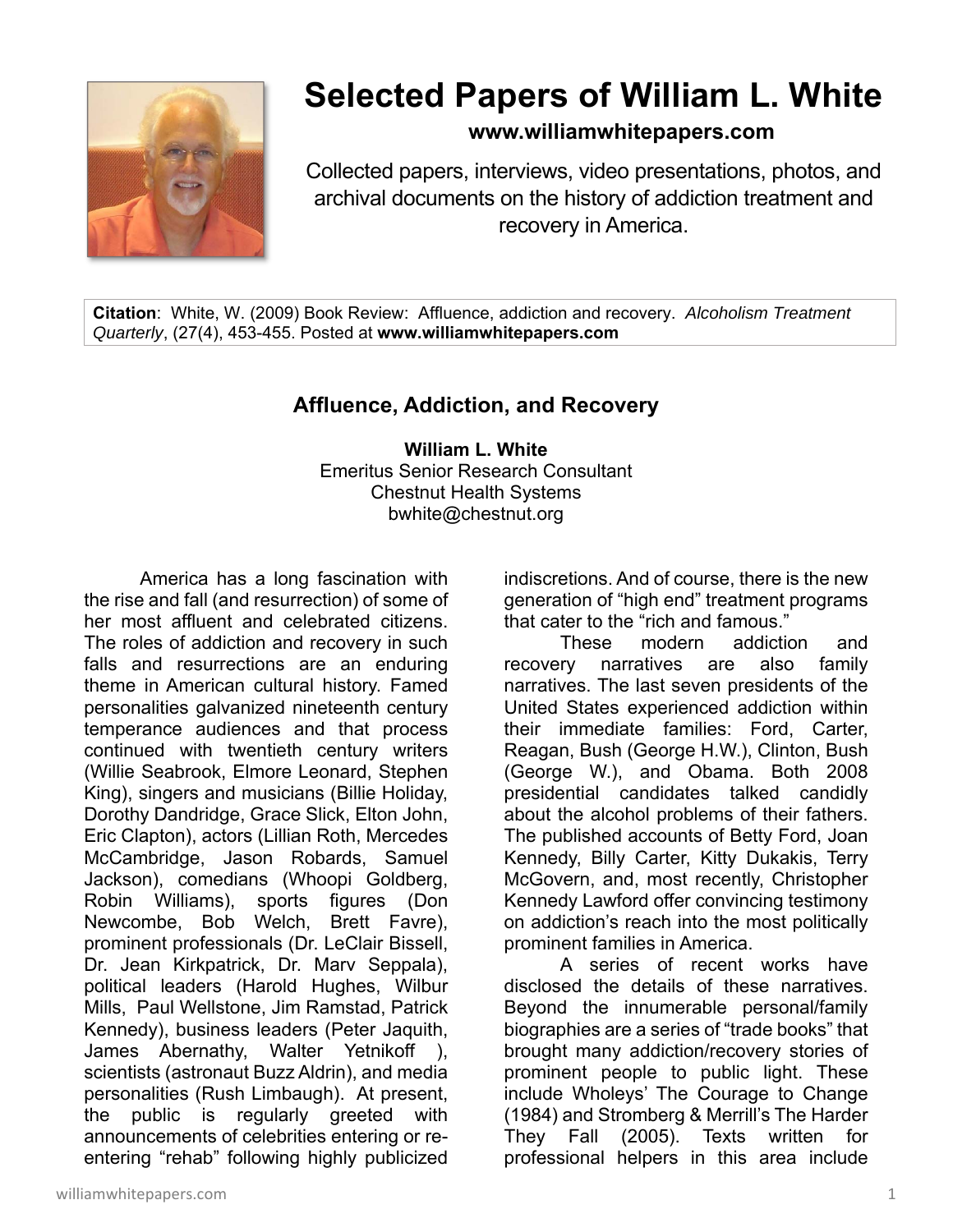

## **Selected Papers of William L. White**

**www.williamwhitepapers.com**

Collected papers, interviews, video presentations, photos, and archival documents on the history of addiction treatment and recovery in America.

**Citation**: White, W. (2009) Book Review: Affluence, addiction and recovery. *Alcoholism Treatment Quarterly*, (27(4), 453-455. Posted at **www.williamwhitepapers.com** 

## **Affluence, Addiction, and Recovery**

**William L. White**  Emeritus Senior Research Consultant Chestnut Health Systems bwhite@chestnut.org

America has a long fascination with the rise and fall (and resurrection) of some of her most affluent and celebrated citizens. The roles of addiction and recovery in such falls and resurrections are an enduring theme in American cultural history. Famed personalities galvanized nineteenth century temperance audiences and that process continued with twentieth century writers (Willie Seabrook, Elmore Leonard, Stephen King), singers and musicians (Billie Holiday, Dorothy Dandridge, Grace Slick, Elton John, Eric Clapton), actors (Lillian Roth, Mercedes McCambridge, Jason Robards, Samuel Jackson), comedians (Whoopi Goldberg, Robin Williams), sports figures (Don Newcombe, Bob Welch, Brett Favre), prominent professionals (Dr. LeClair Bissell, Dr. Jean Kirkpatrick, Dr. Marv Seppala), political leaders (Harold Hughes, Wilbur Mills, Paul Wellstone, Jim Ramstad, Patrick Kennedy), business leaders (Peter Jaquith, James Abernathy, Walter Yetnikoff ), scientists (astronaut Buzz Aldrin), and media personalities (Rush Limbaugh). At present, the public is regularly greeted with announcements of celebrities entering or reentering "rehab" following highly publicized

indiscretions. And of course, there is the new generation of "high end" treatment programs that cater to the "rich and famous."

 These modern addiction and recovery narratives are also family narratives. The last seven presidents of the United States experienced addiction within their immediate families: Ford, Carter, Reagan, Bush (George H.W.), Clinton, Bush (George W.), and Obama. Both 2008 presidential candidates talked candidly about the alcohol problems of their fathers. The published accounts of Betty Ford, Joan Kennedy, Billy Carter, Kitty Dukakis, Terry McGovern, and, most recently, Christopher Kennedy Lawford offer convincing testimony on addiction's reach into the most politically prominent families in America.

 A series of recent works have disclosed the details of these narratives. Beyond the innumerable personal/family biographies are a series of "trade books" that brought many addiction/recovery stories of prominent people to public light. These include Wholeys' The Courage to Change (1984) and Stromberg & Merrill's The Harder They Fall (2005). Texts written for professional helpers in this area include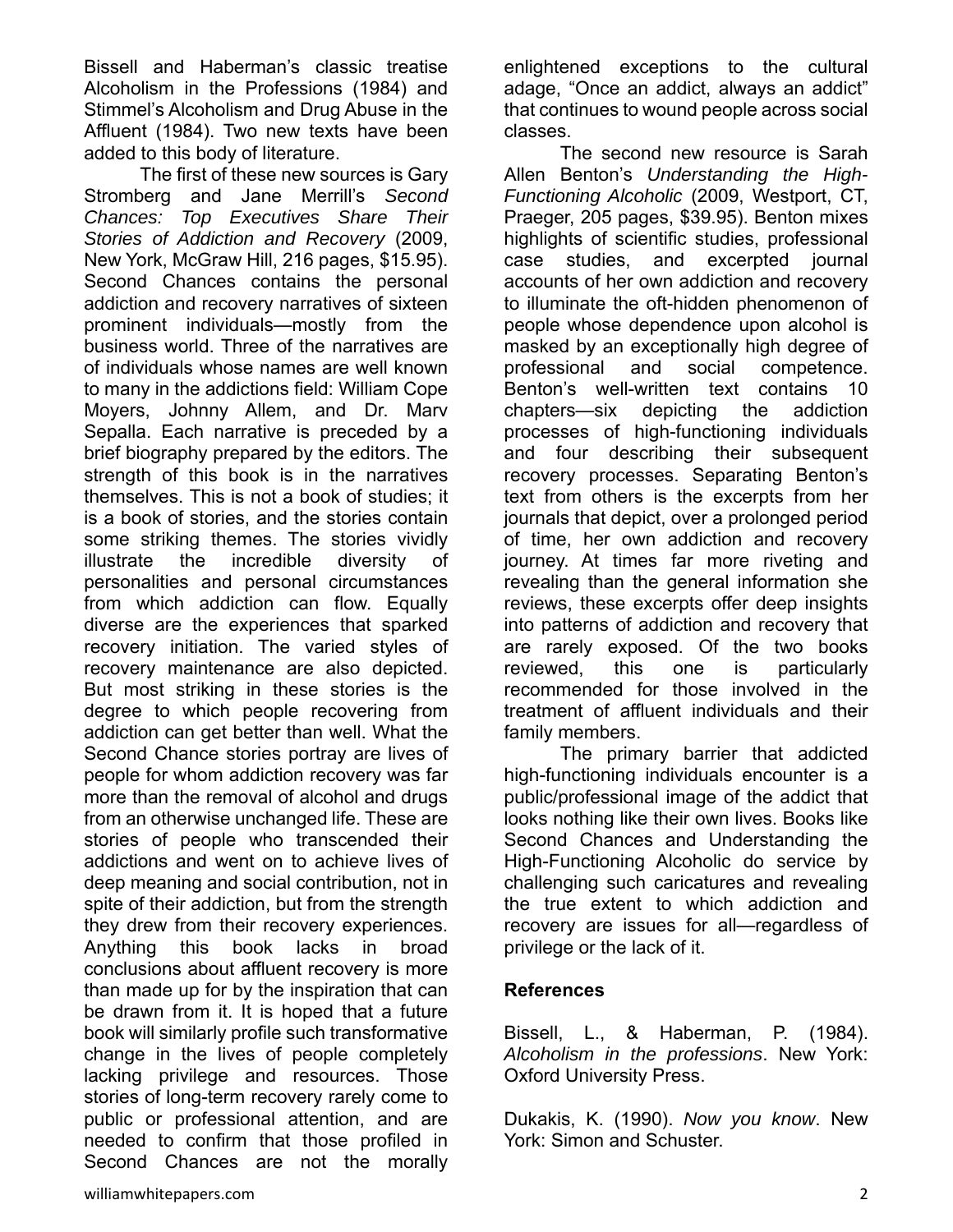Bissell and Haberman's classic treatise Alcoholism in the Professions (1984) and Stimmel's Alcoholism and Drug Abuse in the Affluent (1984). Two new texts have been added to this body of literature.

 The first of these new sources is Gary Stromberg and Jane Merrill's *Second Chances: Top Executives Share Their Stories of Addiction and Recovery* (2009, New York, McGraw Hill, 216 pages, \$15.95). Second Chances contains the personal addiction and recovery narratives of sixteen prominent individuals—mostly from the business world. Three of the narratives are of individuals whose names are well known to many in the addictions field: William Cope Moyers, Johnny Allem, and Dr. Marv Sepalla. Each narrative is preceded by a brief biography prepared by the editors. The strength of this book is in the narratives themselves. This is not a book of studies; it is a book of stories, and the stories contain some striking themes. The stories vividly illustrate the incredible diversity of personalities and personal circumstances from which addiction can flow. Equally diverse are the experiences that sparked recovery initiation. The varied styles of recovery maintenance are also depicted. But most striking in these stories is the degree to which people recovering from addiction can get better than well. What the Second Chance stories portray are lives of people for whom addiction recovery was far more than the removal of alcohol and drugs from an otherwise unchanged life. These are stories of people who transcended their addictions and went on to achieve lives of deep meaning and social contribution, not in spite of their addiction, but from the strength they drew from their recovery experiences. Anything this book lacks in broad conclusions about affluent recovery is more than made up for by the inspiration that can be drawn from it. It is hoped that a future book will similarly profile such transformative change in the lives of people completely lacking privilege and resources. Those stories of long-term recovery rarely come to public or professional attention, and are needed to confirm that those profiled in Second Chances are not the morally

enlightened exceptions to the cultural adage, "Once an addict, always an addict" that continues to wound people across social classes.

 The second new resource is Sarah Allen Benton's *Understanding the High-Functioning Alcoholic* (2009, Westport, CT, Praeger, 205 pages, \$39.95). Benton mixes highlights of scientific studies, professional case studies, and excerpted journal accounts of her own addiction and recovery to illuminate the oft-hidden phenomenon of people whose dependence upon alcohol is masked by an exceptionally high degree of professional and social competence. Benton's well-written text contains 10 chapters—six depicting the addiction processes of high-functioning individuals and four describing their subsequent recovery processes. Separating Benton's text from others is the excerpts from her journals that depict, over a prolonged period of time, her own addiction and recovery journey. At times far more riveting and revealing than the general information she reviews, these excerpts offer deep insights into patterns of addiction and recovery that are rarely exposed. Of the two books reviewed, this one is particularly recommended for those involved in the treatment of affluent individuals and their family members.

 The primary barrier that addicted high-functioning individuals encounter is a public/professional image of the addict that looks nothing like their own lives. Books like Second Chances and Understanding the High-Functioning Alcoholic do service by challenging such caricatures and revealing the true extent to which addiction and recovery are issues for all—regardless of privilege or the lack of it.

## **References**

Bissell, L., & Haberman, P. (1984). *Alcoholism in the professions*. New York: Oxford University Press.

Dukakis, K. (1990). *Now you know*. New York: Simon and Schuster.